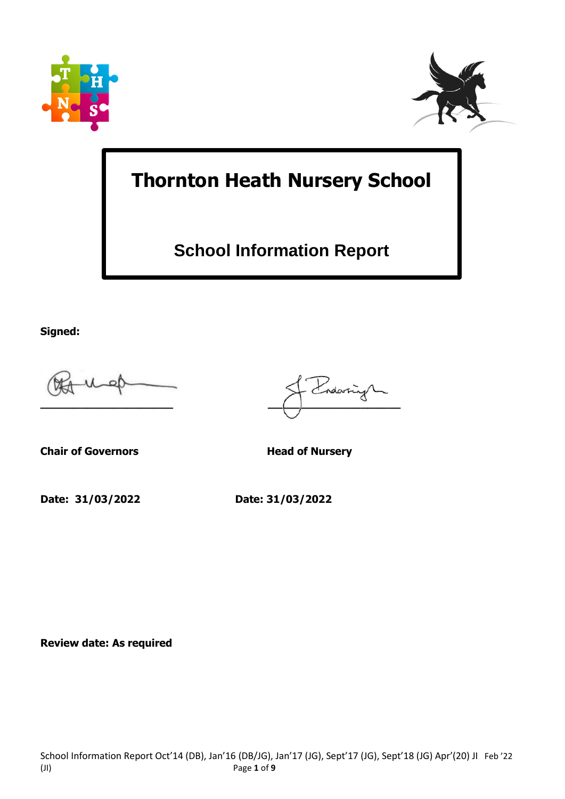



# **Thornton Heath Nursery School**

## **School Information Report**

**Signed:**

**Chair of Governors Head of Nursery** 

**Date: 31/03/2022 Date: 31/03/2022**

dars **\_\_\_\_\_\_\_\_\_\_\_\_\_\_\_\_\_\_\_\_ \_\_\_\_\_\_\_\_\_\_\_\_\_\_\_\_\_\_\_\_**

**Review date: As required**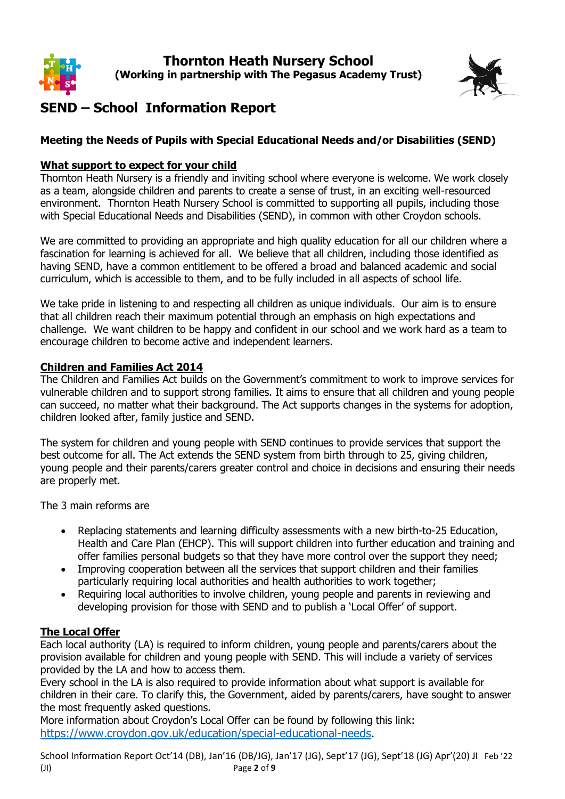



### **SEND – School Information Report**

#### **Meeting the Needs of Pupils with Special Educational Needs and/or Disabilities (SEND)**

#### **What support to expect for your child**

Thornton Heath Nursery is a friendly and inviting school where everyone is welcome. We work closely as a team, alongside children and parents to create a sense of trust, in an exciting well-resourced environment. Thornton Heath Nursery School is committed to supporting all pupils, including those with Special Educational Needs and Disabilities (SEND), in common with other Croydon schools.

We are committed to providing an appropriate and high quality education for all our children where a fascination for learning is achieved for all. We believe that all children, including those identified as having SEND, have a common entitlement to be offered a broad and balanced academic and social curriculum, which is accessible to them, and to be fully included in all aspects of school life.

We take pride in listening to and respecting all children as unique individuals. Our aim is to ensure that all children reach their maximum potential through an emphasis on high expectations and challenge. We want children to be happy and confident in our school and we work hard as a team to encourage children to become active and independent learners.

#### **Children and Families Act 2014**

The Children and Families Act builds on the Government's commitment to work to improve services for vulnerable children and to support strong families. It aims to ensure that all children and young people can succeed, no matter what their background. The Act supports changes in the systems for adoption, children looked after, family justice and SEND.

The system for children and young people with SEND continues to provide services that support the best outcome for all. The Act extends the SEND system from birth through to 25, giving children, young people and their parents/carers greater control and choice in decisions and ensuring their needs are properly met.

The 3 main reforms are

- Replacing statements and learning difficulty assessments with a new birth-to-25 Education, Health and Care Plan (EHCP). This will support children into further education and training and offer families personal budgets so that they have more control over the support they need;
- Improving cooperation between all the services that support children and their families particularly requiring local authorities and health authorities to work together;
- Requiring local authorities to involve children, young people and parents in reviewing and developing provision for those with SEND and to publish a 'Local Offer' of support.

#### **The Local Offer**

Each local authority (LA) is required to inform children, young people and parents/carers about the provision available for children and young people with SEND. This will include a variety of services provided by the LA and how to access them.

Every school in the LA is also required to provide information about what support is available for children in their care. To clarify this, the Government, aided by parents/carers, have sought to answer the most frequently asked questions.

More information about Croydon's Local Offer can be found by following this link: [https://www.croydon.gov.uk/education/special-educational-needs.](https://www.croydon.gov.uk/education/special-educational-needs)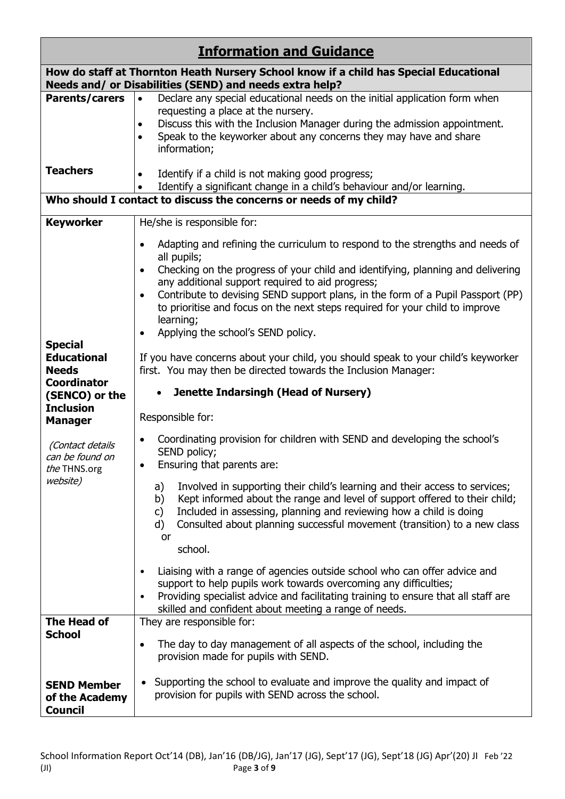| <b>Information and Guidance</b>                                                                                                                  |                                                                                                                                                                                                                                                                                                                                                                                                                                                                                                                                                                                                    |  |  |  |
|--------------------------------------------------------------------------------------------------------------------------------------------------|----------------------------------------------------------------------------------------------------------------------------------------------------------------------------------------------------------------------------------------------------------------------------------------------------------------------------------------------------------------------------------------------------------------------------------------------------------------------------------------------------------------------------------------------------------------------------------------------------|--|--|--|
| How do staff at Thornton Heath Nursery School know if a child has Special Educational<br>Needs and/ or Disabilities (SEND) and needs extra help? |                                                                                                                                                                                                                                                                                                                                                                                                                                                                                                                                                                                                    |  |  |  |
| Parents/carers                                                                                                                                   | Declare any special educational needs on the initial application form when<br>$\bullet$<br>requesting a place at the nursery.<br>Discuss this with the Inclusion Manager during the admission appointment.<br>$\bullet$<br>Speak to the keyworker about any concerns they may have and share<br>$\bullet$<br>information;                                                                                                                                                                                                                                                                          |  |  |  |
| <b>Teachers</b>                                                                                                                                  | Identify if a child is not making good progress;<br>$\bullet$<br>Identify a significant change in a child's behaviour and/or learning.                                                                                                                                                                                                                                                                                                                                                                                                                                                             |  |  |  |
| Who should I contact to discuss the concerns or needs of my child?                                                                               |                                                                                                                                                                                                                                                                                                                                                                                                                                                                                                                                                                                                    |  |  |  |
| <b>Keyworker</b>                                                                                                                                 | He/she is responsible for:                                                                                                                                                                                                                                                                                                                                                                                                                                                                                                                                                                         |  |  |  |
| <b>Special</b><br><b>Educational</b>                                                                                                             | Adapting and refining the curriculum to respond to the strengths and needs of<br>$\bullet$<br>all pupils;<br>Checking on the progress of your child and identifying, planning and delivering<br>$\bullet$<br>any additional support required to aid progress;<br>Contribute to devising SEND support plans, in the form of a Pupil Passport (PP)<br>$\bullet$<br>to prioritise and focus on the next steps required for your child to improve<br>learning;<br>Applying the school's SEND policy.<br>$\bullet$<br>If you have concerns about your child, you should speak to your child's keyworker |  |  |  |
| <b>Needs</b><br><b>Coordinator</b>                                                                                                               | first. You may then be directed towards the Inclusion Manager:                                                                                                                                                                                                                                                                                                                                                                                                                                                                                                                                     |  |  |  |
| (SENCO) or the                                                                                                                                   | Jenette Indarsingh (Head of Nursery)                                                                                                                                                                                                                                                                                                                                                                                                                                                                                                                                                               |  |  |  |
| <b>Inclusion</b><br><b>Manager</b>                                                                                                               | Responsible for:                                                                                                                                                                                                                                                                                                                                                                                                                                                                                                                                                                                   |  |  |  |
| (Contact details<br>can be found on<br>the THNS.org<br><i>website</i> )                                                                          | Coordinating provision for children with SEND and developing the school's<br>SEND policy;<br>Ensuring that parents are:<br>Involved in supporting their child's learning and their access to services;<br>a)<br>Kept informed about the range and level of support offered to their child;<br>b)<br>Included in assessing, planning and reviewing how a child is doing<br>$\mathsf{c}$<br>Consulted about planning successful movement (transition) to a new class<br>d)<br>or<br>school.                                                                                                          |  |  |  |
|                                                                                                                                                  | Liaising with a range of agencies outside school who can offer advice and<br>$\bullet$<br>support to help pupils work towards overcoming any difficulties;<br>Providing specialist advice and facilitating training to ensure that all staff are<br>$\bullet$<br>skilled and confident about meeting a range of needs.                                                                                                                                                                                                                                                                             |  |  |  |
| The Head of<br><b>School</b>                                                                                                                     | They are responsible for:<br>The day to day management of all aspects of the school, including the<br>provision made for pupils with SEND.                                                                                                                                                                                                                                                                                                                                                                                                                                                         |  |  |  |
| <b>SEND Member</b><br>of the Academy<br><b>Council</b>                                                                                           | Supporting the school to evaluate and improve the quality and impact of<br>$\bullet$<br>provision for pupils with SEND across the school.                                                                                                                                                                                                                                                                                                                                                                                                                                                          |  |  |  |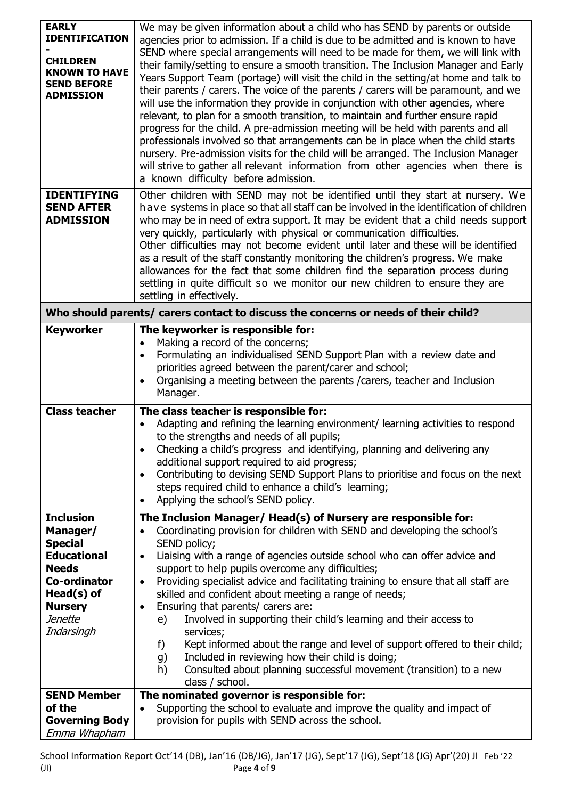| <b>EARLY</b><br><b>IDENTIFICATION</b><br><b>CHILDREN</b><br><b>KNOWN TO HAVE</b><br><b>SEND BEFORE</b><br><b>ADMISSION</b>                                                                 | We may be given information about a child who has SEND by parents or outside<br>agencies prior to admission. If a child is due to be admitted and is known to have<br>SEND where special arrangements will need to be made for them, we will link with<br>their family/setting to ensure a smooth transition. The Inclusion Manager and Early<br>Years Support Team (portage) will visit the child in the setting/at home and talk to<br>their parents / carers. The voice of the parents / carers will be paramount, and we<br>will use the information they provide in conjunction with other agencies, where<br>relevant, to plan for a smooth transition, to maintain and further ensure rapid<br>progress for the child. A pre-admission meeting will be held with parents and all<br>professionals involved so that arrangements can be in place when the child starts<br>nursery. Pre-admission visits for the child will be arranged. The Inclusion Manager<br>will strive to gather all relevant information from other agencies when there is<br>a known difficulty before admission. |  |
|--------------------------------------------------------------------------------------------------------------------------------------------------------------------------------------------|-------------------------------------------------------------------------------------------------------------------------------------------------------------------------------------------------------------------------------------------------------------------------------------------------------------------------------------------------------------------------------------------------------------------------------------------------------------------------------------------------------------------------------------------------------------------------------------------------------------------------------------------------------------------------------------------------------------------------------------------------------------------------------------------------------------------------------------------------------------------------------------------------------------------------------------------------------------------------------------------------------------------------------------------------------------------------------------------------|--|
| <b>IDENTIFYING</b><br><b>SEND AFTER</b><br><b>ADMISSION</b>                                                                                                                                | Other children with SEND may not be identified until they start at nursery. We<br>have systems in place so that all staff can be involved in the identification of children<br>who may be in need of extra support. It may be evident that a child needs support<br>very quickly, particularly with physical or communication difficulties.<br>Other difficulties may not become evident until later and these will be identified<br>as a result of the staff constantly monitoring the children's progress. We make<br>allowances for the fact that some children find the separation process during<br>settling in quite difficult so we monitor our new children to ensure they are<br>settling in effectively.                                                                                                                                                                                                                                                                                                                                                                              |  |
| Who should parents/ carers contact to discuss the concerns or needs of their child?                                                                                                        |                                                                                                                                                                                                                                                                                                                                                                                                                                                                                                                                                                                                                                                                                                                                                                                                                                                                                                                                                                                                                                                                                                 |  |
| <b>Keyworker</b><br><b>Class teacher</b>                                                                                                                                                   | The keyworker is responsible for:<br>Making a record of the concerns;<br>Formulating an individualised SEND Support Plan with a review date and<br>$\bullet$<br>priorities agreed between the parent/carer and school;<br>Organising a meeting between the parents / carers, teacher and Inclusion<br>$\bullet$<br>Manager.<br>The class teacher is responsible for:<br>Adapting and refining the learning environment/ learning activities to respond<br>$\bullet$<br>to the strengths and needs of all pupils;<br>Checking a child's progress and identifying, planning and delivering any<br>$\bullet$<br>additional support required to aid progress;<br>Contributing to devising SEND Support Plans to prioritise and focus on the next<br>٠                                                                                                                                                                                                                                                                                                                                               |  |
|                                                                                                                                                                                            | steps required child to enhance a child's learning;<br>Applying the school's SEND policy.<br>$\bullet$                                                                                                                                                                                                                                                                                                                                                                                                                                                                                                                                                                                                                                                                                                                                                                                                                                                                                                                                                                                          |  |
| <b>Inclusion</b><br>Manager/<br><b>Special</b><br><b>Educational</b><br><b>Needs</b><br><b>Co-ordinator</b><br>Head(s) of<br><b>Nursery</b><br>Jenette<br>Indarsingh<br><b>SEND Member</b> | The Inclusion Manager/ Head(s) of Nursery are responsible for:<br>Coordinating provision for children with SEND and developing the school's<br>SEND policy;<br>Liaising with a range of agencies outside school who can offer advice and<br>$\bullet$<br>support to help pupils overcome any difficulties;<br>Providing specialist advice and facilitating training to ensure that all staff are<br>٠<br>skilled and confident about meeting a range of needs;<br>Ensuring that parents/ carers are:<br>$\bullet$<br>Involved in supporting their child's learning and their access to<br>e)<br>services;<br>Kept informed about the range and level of support offered to their child;<br>f)<br>Included in reviewing how their child is doing;<br>g)<br>Consulted about planning successful movement (transition) to a new<br>h)<br>class / school.<br>The nominated governor is responsible for:                                                                                                                                                                                             |  |
| of the                                                                                                                                                                                     | Supporting the school to evaluate and improve the quality and impact of<br>$\bullet$                                                                                                                                                                                                                                                                                                                                                                                                                                                                                                                                                                                                                                                                                                                                                                                                                                                                                                                                                                                                            |  |
| <b>Governing Body</b><br>Emma Whapham                                                                                                                                                      | provision for pupils with SEND across the school.                                                                                                                                                                                                                                                                                                                                                                                                                                                                                                                                                                                                                                                                                                                                                                                                                                                                                                                                                                                                                                               |  |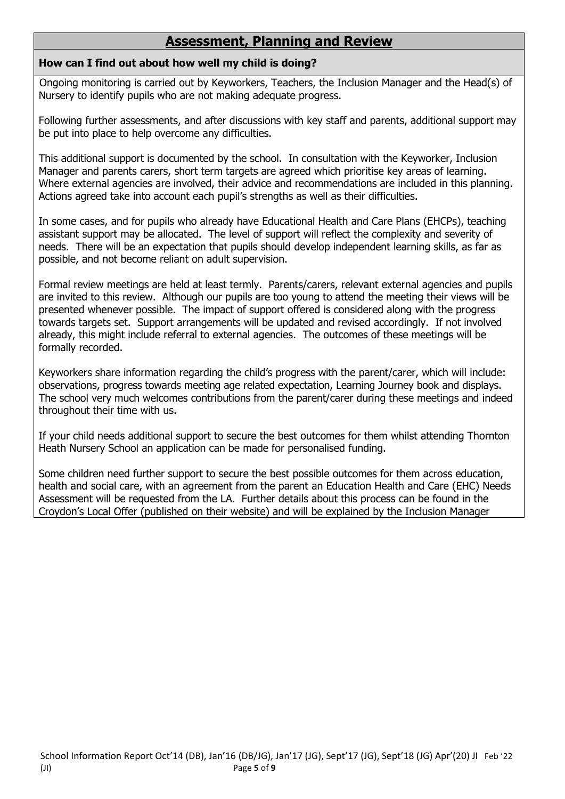### **Assessment, Planning and Review**

#### **How can I find out about how well my child is doing?**

Ongoing monitoring is carried out by Keyworkers, Teachers, the Inclusion Manager and the Head(s) of Nursery to identify pupils who are not making adequate progress.

Following further assessments, and after discussions with key staff and parents, additional support may be put into place to help overcome any difficulties.

This additional support is documented by the school. In consultation with the Keyworker, Inclusion Manager and parents carers, short term targets are agreed which prioritise key areas of learning. Where external agencies are involved, their advice and recommendations are included in this planning. Actions agreed take into account each pupil's strengths as well as their difficulties.

In some cases, and for pupils who already have Educational Health and Care Plans (EHCPs), teaching assistant support may be allocated. The level of support will reflect the complexity and severity of needs. There will be an expectation that pupils should develop independent learning skills, as far as possible, and not become reliant on adult supervision.

Formal review meetings are held at least termly. Parents/carers, relevant external agencies and pupils are invited to this review. Although our pupils are too young to attend the meeting their views will be presented whenever possible. The impact of support offered is considered along with the progress towards targets set. Support arrangements will be updated and revised accordingly. If not involved already, this might include referral to external agencies. The outcomes of these meetings will be formally recorded.

Keyworkers share information regarding the child's progress with the parent/carer, which will include: observations, progress towards meeting age related expectation, Learning Journey book and displays. The school very much welcomes contributions from the parent/carer during these meetings and indeed throughout their time with us.

If your child needs additional support to secure the best outcomes for them whilst attending Thornton Heath Nursery School an application can be made for personalised funding.

Some children need further support to secure the best possible outcomes for them across education, health and social care, with an agreement from the parent an Education Health and Care (EHC) Needs Assessment will be requested from the LA. Further details about this process can be found in the Croydon's Local Offer (published on their website) and will be explained by the Inclusion Manager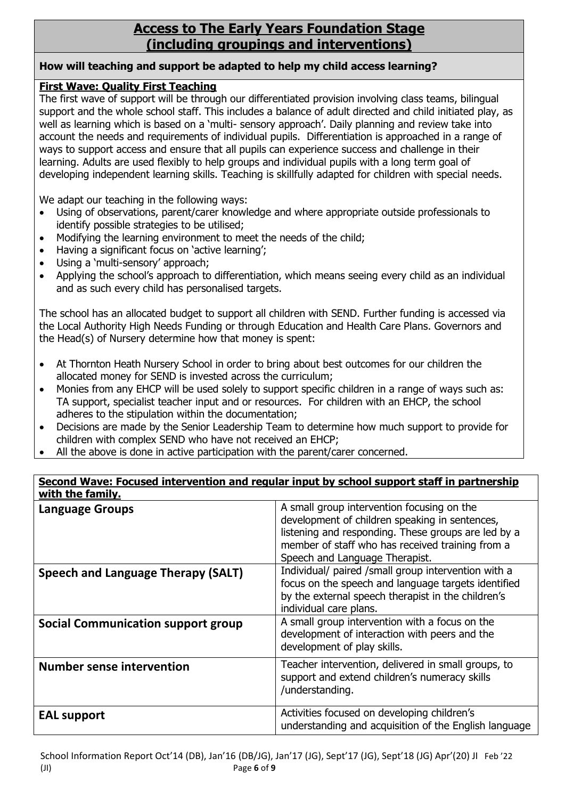### **Access to The Early Years Foundation Stage (including groupings and interventions)**

#### **How will teaching and support be adapted to help my child access learning?**

#### **First Wave: Quality First Teaching**

The first wave of support will be through our differentiated provision involving class teams, bilingual support and the whole school staff. This includes a balance of adult directed and child initiated play, as well as learning which is based on a 'multi- sensory approach'. Daily planning and review take into account the needs and requirements of individual pupils. Differentiation is approached in a range of ways to support access and ensure that all pupils can experience success and challenge in their learning. Adults are used flexibly to help groups and individual pupils with a long term goal of developing independent learning skills. Teaching is skillfully adapted for children with special needs.

We adapt our teaching in the following ways:

- Using of observations, parent/carer knowledge and where appropriate outside professionals to identify possible strategies to be utilised;
- Modifying the learning environment to meet the needs of the child;
- Having a significant focus on 'active learning':
- Using a 'multi-sensory' approach;
- Applying the school's approach to differentiation, which means seeing every child as an individual and as such every child has personalised targets.

The school has an allocated budget to support all children with SEND. Further funding is accessed via the Local Authority High Needs Funding or through Education and Health Care Plans. Governors and the Head(s) of Nursery determine how that money is spent:

- At Thornton Heath Nursery School in order to bring about best outcomes for our children the allocated money for SEND is invested across the curriculum;
- Monies from any EHCP will be used solely to support specific children in a range of ways such as: TA support, specialist teacher input and or resources. For children with an EHCP, the school adheres to the stipulation within the documentation;
- Decisions are made by the Senior Leadership Team to determine how much support to provide for children with complex SEND who have not received an EHCP;
- All the above is done in active participation with the parent/carer concerned.

| Second Wave: Focused intervention and regular input by school support staff in partnership<br>with the family. |                                                                                                                                                                                                                                           |  |
|----------------------------------------------------------------------------------------------------------------|-------------------------------------------------------------------------------------------------------------------------------------------------------------------------------------------------------------------------------------------|--|
| <b>Language Groups</b>                                                                                         | A small group intervention focusing on the<br>development of children speaking in sentences,<br>listening and responding. These groups are led by a<br>member of staff who has received training from a<br>Speech and Language Therapist. |  |
| <b>Speech and Language Therapy (SALT)</b>                                                                      | Individual/ paired /small group intervention with a<br>focus on the speech and language targets identified<br>by the external speech therapist in the children's<br>individual care plans.                                                |  |
| <b>Social Communication support group</b>                                                                      | A small group intervention with a focus on the<br>development of interaction with peers and the<br>development of play skills.                                                                                                            |  |
| <b>Number sense intervention</b>                                                                               | Teacher intervention, delivered in small groups, to<br>support and extend children's numeracy skills<br>/understanding.                                                                                                                   |  |
| <b>EAL support</b>                                                                                             | Activities focused on developing children's<br>understanding and acquisition of the English language                                                                                                                                      |  |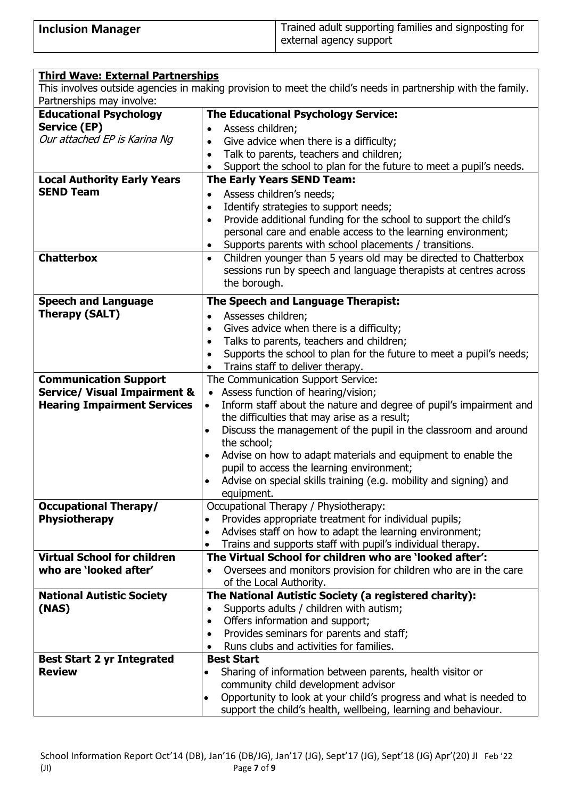| <b>Inclusion Manager</b> | Trained adult supporting families and signposting for |
|--------------------------|-------------------------------------------------------|
|                          | external agency support                               |

| <b>Third Wave: External Partnerships</b>                                                                     |                                                                                  |  |  |  |
|--------------------------------------------------------------------------------------------------------------|----------------------------------------------------------------------------------|--|--|--|
| This involves outside agencies in making provision to meet the child's needs in partnership with the family. |                                                                                  |  |  |  |
| Partnerships may involve:                                                                                    |                                                                                  |  |  |  |
| <b>Educational Psychology</b>                                                                                | <b>The Educational Psychology Service:</b>                                       |  |  |  |
| <b>Service (EP)</b>                                                                                          | Assess children;                                                                 |  |  |  |
| Our attached EP is Karina Ng                                                                                 | Give advice when there is a difficulty;<br>$\bullet$                             |  |  |  |
|                                                                                                              | Talk to parents, teachers and children;<br>$\bullet$                             |  |  |  |
|                                                                                                              | Support the school to plan for the future to meet a pupil's needs.               |  |  |  |
| <b>Local Authority Early Years</b>                                                                           | <b>The Early Years SEND Team:</b>                                                |  |  |  |
| <b>SEND Team</b>                                                                                             | Assess children's needs;<br>$\bullet$                                            |  |  |  |
|                                                                                                              | Identify strategies to support needs;<br>$\bullet$                               |  |  |  |
|                                                                                                              | Provide additional funding for the school to support the child's<br>$\bullet$    |  |  |  |
|                                                                                                              | personal care and enable access to the learning environment;                     |  |  |  |
|                                                                                                              | Supports parents with school placements / transitions.                           |  |  |  |
| <b>Chatterbox</b>                                                                                            | Children younger than 5 years old may be directed to Chatterbox<br>$\bullet$     |  |  |  |
|                                                                                                              | sessions run by speech and language therapists at centres across                 |  |  |  |
|                                                                                                              | the borough.                                                                     |  |  |  |
| <b>Speech and Language</b>                                                                                   | The Speech and Language Therapist:                                               |  |  |  |
| <b>Therapy (SALT)</b>                                                                                        | Assesses children;<br>$\bullet$                                                  |  |  |  |
|                                                                                                              | Gives advice when there is a difficulty;<br>$\bullet$                            |  |  |  |
|                                                                                                              | Talks to parents, teachers and children;<br>$\bullet$                            |  |  |  |
|                                                                                                              | Supports the school to plan for the future to meet a pupil's needs;<br>$\bullet$ |  |  |  |
|                                                                                                              | Trains staff to deliver therapy.<br>$\bullet$                                    |  |  |  |
| <b>Communication Support</b>                                                                                 | The Communication Support Service:                                               |  |  |  |
| <b>Service/ Visual Impairment &amp;</b>                                                                      | • Assess function of hearing/vision;                                             |  |  |  |
| <b>Hearing Impairment Services</b>                                                                           | Inform staff about the nature and degree of pupil's impairment and<br>$\bullet$  |  |  |  |
|                                                                                                              | the difficulties that may arise as a result;                                     |  |  |  |
|                                                                                                              | Discuss the management of the pupil in the classroom and around<br>$\bullet$     |  |  |  |
|                                                                                                              | the school;                                                                      |  |  |  |
|                                                                                                              | Advise on how to adapt materials and equipment to enable the<br>$\bullet$        |  |  |  |
|                                                                                                              | pupil to access the learning environment;                                        |  |  |  |
|                                                                                                              | Advise on special skills training (e.g. mobility and signing) and                |  |  |  |
|                                                                                                              | equipment.                                                                       |  |  |  |
| <b>Occupational Therapy/</b>                                                                                 | Occupational Therapy / Physiotherapy:                                            |  |  |  |
| <b>Physiotherapy</b>                                                                                         | Provides appropriate treatment for individual pupils;<br>$\bullet$               |  |  |  |
|                                                                                                              | Advises staff on how to adapt the learning environment;<br>$\bullet$             |  |  |  |
|                                                                                                              | Trains and supports staff with pupil's individual therapy.<br>$\bullet$          |  |  |  |
| <b>Virtual School for children</b>                                                                           | The Virtual School for children who are 'looked after':                          |  |  |  |
| who are 'looked after'                                                                                       | Oversees and monitors provision for children who are in the care                 |  |  |  |
|                                                                                                              | of the Local Authority.                                                          |  |  |  |
| <b>National Autistic Society</b>                                                                             | The National Autistic Society (a registered charity):                            |  |  |  |
| (NAS)                                                                                                        | Supports adults / children with autism;<br>$\bullet$                             |  |  |  |
|                                                                                                              | Offers information and support;<br>$\bullet$                                     |  |  |  |
|                                                                                                              | Provides seminars for parents and staff;<br>$\bullet$                            |  |  |  |
|                                                                                                              | Runs clubs and activities for families.<br>٠                                     |  |  |  |
| <b>Best Start 2 yr Integrated</b>                                                                            | <b>Best Start</b>                                                                |  |  |  |
| <b>Review</b>                                                                                                | Sharing of information between parents, health visitor or<br>$\bullet$           |  |  |  |
|                                                                                                              | community child development advisor                                              |  |  |  |
|                                                                                                              | Opportunity to look at your child's progress and what is needed to<br>$\bullet$  |  |  |  |
|                                                                                                              | support the child's health, wellbeing, learning and behaviour.                   |  |  |  |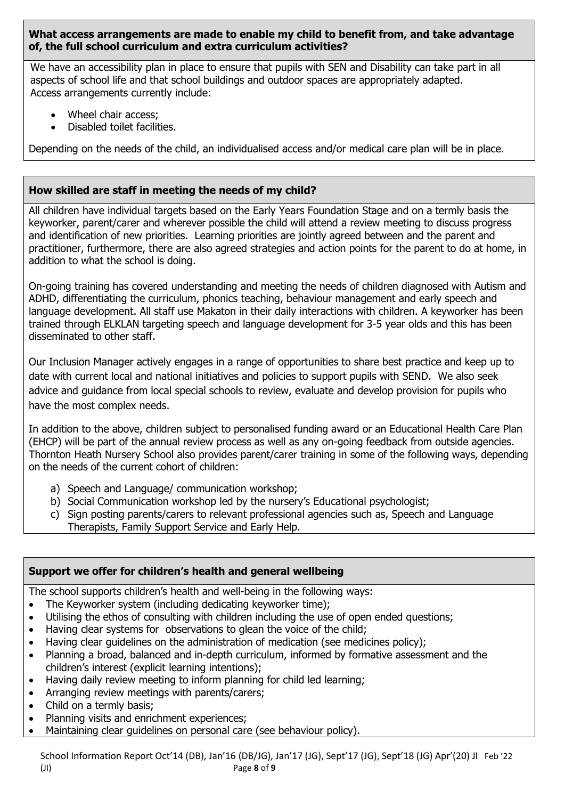#### **What access arrangements are made to enable my child to benefit from, and take advantage of, the full school curriculum and extra curriculum activities?**

We have an accessibility plan in place to ensure that pupils with SEN and Disability can take part in all aspects of school life and that school buildings and outdoor spaces are appropriately adapted. Access arrangements currently include:

- Wheel chair access:
- Disabled toilet facilities.

Depending on the needs of the child, an individualised access and/or medical care plan will be in place.

#### **How skilled are staff in meeting the needs of my child?**

All children have individual targets based on the Early Years Foundation Stage and on a termly basis the keyworker, parent/carer and wherever possible the child will attend a review meeting to discuss progress and identification of new priorities. Learning priorities are jointly agreed between and the parent and practitioner, furthermore, there are also agreed strategies and action points for the parent to do at home, in addition to what the school is doing.

On-going training has covered understanding and meeting the needs of children diagnosed with Autism and ADHD, differentiating the curriculum, phonics teaching, behaviour management and early speech and language development. All staff use Makaton in their daily interactions with children. A keyworker has been trained through ELKLAN targeting speech and language development for 3-5 year olds and this has been disseminated to other staff.

Our Inclusion Manager actively engages in a range of opportunities to share best practice and keep up to date with current local and national initiatives and policies to support pupils with SEND. We also seek advice and guidance from local special schools to review, evaluate and develop provision for pupils who have the most complex needs.

In addition to the above, children subject to personalised funding award or an Educational Health Care Plan (EHCP) will be part of the annual review process as well as any on-going feedback from outside agencies. Thornton Heath Nursery School also provides parent/carer training in some of the following ways, depending on the needs of the current cohort of children:

- a) Speech and Language/ communication workshop;
- b) Social Communication workshop led by the nursery's Educational psychologist;
- c) Sign posting parents/carers to relevant professional agencies such as, Speech and Language Therapists, Family Support Service and Early Help.

#### **Support we offer for children's health and general wellbeing**

The school supports children's health and well-being in the following ways:

- The Keyworker system (including dedicating keyworker time);
- Utilising the ethos of consulting with children including the use of open ended questions;
- Having clear systems for observations to glean the voice of the child;
- Having clear guidelines on the administration of medication (see medicines policy);
- Planning a broad, balanced and in-depth curriculum, informed by formative assessment and the children's interest (explicit learning intentions);
- Having daily review meeting to inform planning for child led learning;
- Arranging review meetings with parents/carers;
- Child on a termly basis;
- Planning visits and enrichment experiences:
- Maintaining clear guidelines on personal care (see behaviour policy).